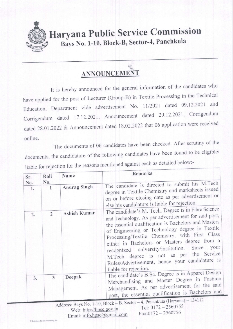

## **Haryana Public Service Commission** Bays No. 1-10, Block-B, Sector-4, Panchkula

## ANNOUNCEMENT

It is hereby announced for the general information of the candidates who have applied for the post of Lecturer (Group-B) in Textile Processing in the Technical Education, Department vide advertisement No. 11/2021 dated 09.12.2021 and Corrigendum dated 17.12.2021, Announcement dated 29.12.2021, Corrigendum dated 28.01.2022 & Announcement dated 18.02.2022 that 06 application were received online.

The documents of 06 candidates have been checked. After scrutiny of the documents, the candidature of the following candidates have been found to be eligible/ liable for rejection for the reasons mentioned against each as detailed below:-

| Sr.       | Roll                | Name                | Remarks                                                                                                                                                                                                                                                                                                                                                                                                                                                                                       |  |  |  |
|-----------|---------------------|---------------------|-----------------------------------------------------------------------------------------------------------------------------------------------------------------------------------------------------------------------------------------------------------------------------------------------------------------------------------------------------------------------------------------------------------------------------------------------------------------------------------------------|--|--|--|
| No.<br>1. | No.<br>$\mathbf{1}$ | <b>Anurag Singh</b> | The candidate is directed to submit his M.Tech<br>degree in Textile Chemistry and marksheets issued<br>on or before closing date as per advertisement or<br>else his candidature is liable for rejection.                                                                                                                                                                                                                                                                                     |  |  |  |
| 2.        | $\overline{2}$      | <b>Ashish Kumar</b> | The candidate's M. Tech. Degree is in Fibre Science<br>and Technology. As per advertisement for said post,<br>the essential qualification is Bachelors and Masters<br>of Engineering or Technology degree in Textile<br>Processing/Textile Chemistry, with First Class<br>either in Bachelors or Masters degree from a<br>recognized university/institution. Since your<br>M.Tech degree is not as per the Service<br>Rules/Advertisement, hence your candidature is<br>liable for rejection. |  |  |  |
| 3.        | 3                   | Deepak              | The candidate's B.Sc. Degree is in Apparel Design<br>Merchandising and Master Degree in Fashion<br>Management. As per advertisement for the said<br>post, the essential qualification is Bachelors and<br>Address: Bays No. 1-10, Block - B, Sector - 4, Panchkula (Haryana) - 134112                                                                                                                                                                                                         |  |  |  |

Rejection Textile Proce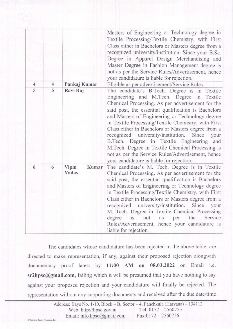|                     |                     |                         | Masters of Engineering or Technology degree in<br>Textile Processing/Textile Chemistry, with First<br>Class either in Bachelors or Masters degree from a<br>recognized university/institution. Since your B.Sc.<br>Degree in Apparel Design Merchandising and<br>Master Degree in Fashion Management degree is<br>not as per the Service Rules/Advertisement, hence<br>your candidature is liable for rejection.                                                                                                                                                                                                              |
|---------------------|---------------------|-------------------------|-------------------------------------------------------------------------------------------------------------------------------------------------------------------------------------------------------------------------------------------------------------------------------------------------------------------------------------------------------------------------------------------------------------------------------------------------------------------------------------------------------------------------------------------------------------------------------------------------------------------------------|
| $\overline{4}$<br>5 | $\overline{4}$<br>5 | Pankaj Kumar            | Eligible as per advertisement/Service Rules.                                                                                                                                                                                                                                                                                                                                                                                                                                                                                                                                                                                  |
|                     |                     | Ravi Raj                | The candidate's B.Tech. Degree is in Textile<br>Engineering and M.Tech. Degree in Textile<br>Chemical Processing. As per advertisement for the<br>said post, the essential qualification is Bachelors<br>and Masters of Engineering or Technology degree<br>in Textile Processing/Textile Chemistry, with First<br>Class either in Bachelors or Masters degree from a<br>recognized university/institution. Since<br>your<br>B.Tech. Degree in Textile Engineering and<br>M. Tech. Degree in Textile Chemical Processing is<br>not as per the Service Rules/Advertisement, hence<br>your candidature is liable for rejection. |
| 6                   | 6                   | Vipin<br>Kumar<br>Yadav | The candidate's M. Tech. Degree is in Textile<br>Chemical Processing. As per advertisement for the<br>said post, the essential qualification is Bachelors<br>and Masters of Engineering or Technology degree<br>in Textile Processing/Textile Chemistry, with First<br>Class either in Bachelors or Masters degree from a<br>recognized university/institution. Since<br>your<br>M. Tech. Degree in Textile Chemical Processing<br>the<br>Service<br>is not as per<br>degree<br>Rules/Advertisement, hence your candidature is<br>liable for rejection.                                                                       |

The candidates whose candidature has been rejected in the above table, are directed to make representation, if any, against their proposed rejection alongwith documentary proof latest by l1:00 AM on 08.03.2022 on Email i.e. sr2hpsc@gmail.com, failing which it will be presumed that you have nothing to say against your proposed rejection and your candidature will finally be rejected. The representation without any supporting documents and received after the due date/time

|                                     |                            | Address: Bays No. 1-10, Block – B, Sector – 4, Panchkula (Haryana) – 134112 |  |
|-------------------------------------|----------------------------|-----------------------------------------------------------------------------|--|
|                                     | Web: http://hpsc.gov.in    | Tel: $0172 - 2560755$                                                       |  |
| G:\Rejection Textile Processing.doc | Email: info.hpsc@gmail.com | $Fax:0172 - 2560756$                                                        |  |